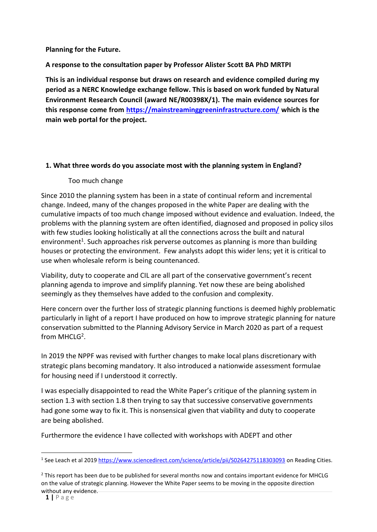## **Planning for the Future.**

## **A response to the consultation paper by Professor Alister Scott BA PhD MRTPI**

**This is an individual response but draws on research and evidence compiled during my period as a NERC Knowledge exchange fellow. This is based on work funded by Natural Environment Research Council (award NE/R00398X/1). The main evidence sources for this response come from<https://mainstreaminggreeninfrastructure.com/> which is the main web portal for the project.** 

## **1. What three words do you associate most with the planning system in England?**

## Too much change

Since 2010 the planning system has been in a state of continual reform and incremental change. Indeed, many of the changes proposed in the white Paper are dealing with the cumulative impacts of too much change imposed without evidence and evaluation. Indeed, the problems with the planning system are often identified, diagnosed and proposed in policy silos with few studies looking holistically at all the connections across the built and natural environment<sup>1</sup>. Such approaches risk perverse outcomes as planning is more than building houses or protecting the environment. Few analysts adopt this wider lens; yet it is critical to use when wholesale reform is being countenanced.

Viability, duty to cooperate and CIL are all part of the conservative government's recent planning agenda to improve and simplify planning. Yet now these are being abolished seemingly as they themselves have added to the confusion and complexity.

Here concern over the further loss of strategic planning functions is deemed highly problematic particularly in light of a report I have produced on how to improve strategic planning for nature conservation submitted to the Planning Advisory Service in March 2020 as part of a request from MHCLG<sup>2</sup>.

In 2019 the NPPF was revised with further changes to make local plans discretionary with strategic plans becoming mandatory. It also introduced a nationwide assessment formulae for housing need if I understood it correctly.

I was especially disappointed to read the White Paper's critique of the planning system in section 1.3 with section 1.8 then trying to say that successive conservative governments had gone some way to fix it. This is nonsensical given that viability and duty to cooperate are being abolished.

Furthermore the evidence I have collected with workshops with ADEPT and other

<sup>&</sup>lt;sup>1</sup> See Leach et al 201[9 https://www.sciencedirect.com/science/article/pii/S0264275118303093](https://www.sciencedirect.com/science/article/pii/S0264275118303093) on Reading Cities.

<sup>&</sup>lt;sup>2</sup> This report has been due to be published for several months now and contains important evidence for MHCLG on the value of strategic planning. However the White Paper seems to be moving in the opposite direction without any evidence.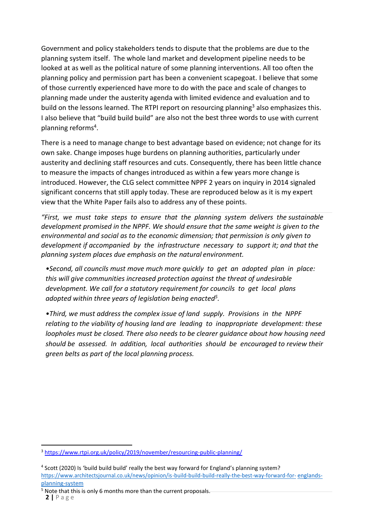Government and policy stakeholders tends to dispute that the problems are due to the planning system itself. The whole land market and development pipeline needs to be looked at as well as the political nature of some planning interventions. All too often the planning policy and permission part has been a convenient scapegoat. I believe that some of those currently experienced have more to do with the pace and scale of changes to planning made under the austerity agenda with limited evidence and evaluation and to build on the lessons learned. The RTPI report on resourcing planning<sup>3</sup> also emphasizes this. I also believe that "build build build" are also not the best three words to use with current planning reforms<sup>4</sup>.

There is a need to manage change to best advantage based on evidence; not change for its own sake. Change imposes huge burdens on planning authorities, particularly under austerity and declining staff resources and cuts. Consequently, there has been little chance to measure the impacts of changes introduced as within a few years more change is introduced. However, the CLG select committee NPPF 2 years on inquiry in 2014 signaled significant concerns that still apply today. These are reproduced below as it is my expert view that the White Paper fails also to address any of these points.

*"First, we must take steps to ensure that the planning system delivers the sustainable development promised in the NPPF. We should ensure that the same weight is given to the environmental and social as to the economic dimension; that permission is only given to development if accompanied by the infrastructure necessary to support it; and that the planning system places due emphasis on the natural environment.*

*•Second, all councils must move much more quickly to get an adopted plan in place: this will give communities increased protection against the threat of undesirable development. We call for a statutory requirement for councils to get local plans adopted within three years of legislation being enacted<sup>5</sup> .*

*•Third, we must address the complex issue of land supply. Provisions in the NPPF relating to the viability of housing land are leading to inappropriate development: these loopholes must be closed. There also needs to be clearer guidance about how housing need should be assessed. In addition, local authorities should be encouraged to review their green belts as part of the local planning process.*

<sup>&</sup>lt;sup>3</sup> <https://www.rtpi.org.uk/policy/2019/november/resourcing-public-planning/>

<sup>4</sup> Scott (2020) Is 'build build build' really the best way forward for England's planning system? [https://www.architectsjournal.co.uk/news/opinion/is-build-build-build-really-the-best-way-forward-for-](https://www.architectsjournal.co.uk/news/opinion/is-build-build-build-really-the-best-way-forward-for-englands-planning-system) [englands](https://www.architectsjournal.co.uk/news/opinion/is-build-build-build-really-the-best-way-forward-for-englands-planning-system)[planning-system](https://www.architectsjournal.co.uk/news/opinion/is-build-build-build-really-the-best-way-forward-for-englands-planning-system)

<sup>&</sup>lt;sup>5</sup> Note that this is only 6 months more than the current proposals.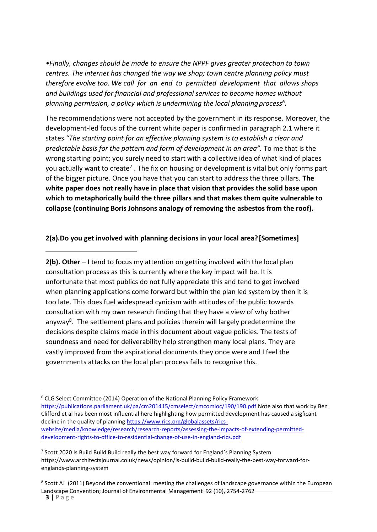*•Finally, changes should be made to ensure the NPPF gives greater protection to town centres. The internet has changed the way we shop; town centre planning policy must therefore evolve too. We call for an end to permitted development that allows shops and buildings used for financial and professional services to become homes without planning permission, a policy which is undermining the local planningprocess<sup>6</sup> .*

The recommendations were not accepted by the government in its response. Moreover, the development-led focus of the current white paper is confirmed in paragraph 2.1 where it states *"The starting point for an effective planning system is to establish a clear and predictable basis for the pattern and form of development in an area".* To me that is the wrong starting point; you surely need to start with a collective idea of what kind of places you actually want to create<sup>7</sup> . The fix on housing or development is vital but only forms part of the bigger picture. Once you have that you can start to address the three pillars. **The white paper does not really have in place that vision that provides the solid base upon which to metaphorically build the three pillars and that makes them quite vulnerable to collapse (continuing Boris Johnsons analogy of removing the asbestos from the roof).**

### **2(a).Do you get involved with planning decisions in your local area? [Sometimes]**

**2(b). Other** – I tend to focus my attention on getting involved with the local plan consultation process as this is currently where the key impact will be. It is unfortunate that most publics do not fully appreciate this and tend to get involved when planning applications come forward but within the plan led system by then it is too late. This does fuel widespread cynicism with attitudes of the public towards consultation with my own research finding that they have a view of why bother anyway<sup>8</sup>. The settlement plans and policies therein will largely predetermine the decisions despite claims made in this document about vague policies. The tests of soundness and need for deliverability help strengthen many local plans. They are vastly improved from the aspirational documents they once were and I feel the governments attacks on the local plan process fails to recognise this.

<sup>6</sup> CLG Select Committee (2014) Operation of the National Planning Policy Framework <https://publications.parliament.uk/pa/cm201415/cmselect/cmcomloc/190/190.pdf> Note also that work by Ben Clifford et al has been most influential here highlighting how permitted development has caused a sigficant decline in the quality of planning [https://www.rics.org/globalassets/rics](https://www.rics.org/globalassets/rics-website/media/knowledge/research/research-reports/assessing-the-impacts-of-extending-permitted-development-rights-to-office-to-residential-change-of-use-in-england-rics.pdf)[website/media/knowledge/research/research-reports/assessing-the-impacts-of-extending-permitted](https://www.rics.org/globalassets/rics-website/media/knowledge/research/research-reports/assessing-the-impacts-of-extending-permitted-development-rights-to-office-to-residential-change-of-use-in-england-rics.pdf)[development-rights-to-office-to-residential-change-of-use-in-england-rics.pdf](https://www.rics.org/globalassets/rics-website/media/knowledge/research/research-reports/assessing-the-impacts-of-extending-permitted-development-rights-to-office-to-residential-change-of-use-in-england-rics.pdf)

<sup>&</sup>lt;sup>7</sup> Scott 2020 Is Build Build Build really the best way forward for England's Planning System https://www.architectsjournal.co.uk/news/opinion/is-build-build-build-really-the-best-way-forward-forenglands-planning-system

<sup>&</sup>lt;sup>8</sup> Scott AJ (2011) Beyond the conventional: meeting the challenges of landscape governance within the European Landscape Convention; Journal of Environmental Management 92 (10), 2754-2762

**<sup>3</sup> |** P a g e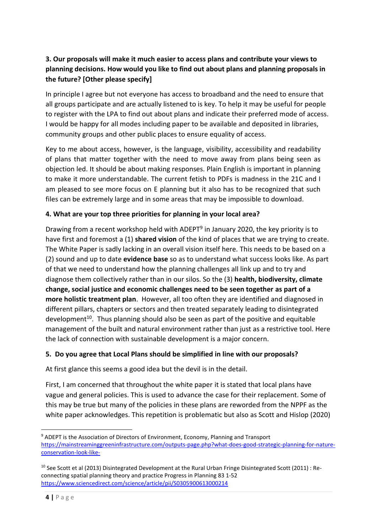# **3. Our proposals will make it much easier to access plans and contribute your views to planning decisions. How would you like to find out about plans and planning proposals in the future? [Other please specify]**

In principle I agree but not everyone has access to broadband and the need to ensure that all groups participate and are actually listened to is key. To help it may be useful for people to register with the LPA to find out about plans and indicate their preferred mode of access. I would be happy for all modes including paper to be available and deposited in libraries, community groups and other public places to ensure equality of access.

Key to me about access, however, is the language, visibility, accessibility and readability of plans that matter together with the need to move away from plans being seen as objection led. It should be about making responses. Plain English is important in planning to make it more understandable. The current fetish to PDFs is madness in the 21C and I am pleased to see more focus on E planning but it also has to be recognized that such files can be extremely large and in some areas that may be impossible to download.

## **4. What are your top three priorities for planning in your local area?**

Drawing from a recent workshop held with ADEPT<sup>9</sup> in January 2020, the key priority is to have first and foremost a (1) **shared vision** of the kind of places that we are trying to create. The White Paper is sadly lacking in an overall vision itself here. This needs to be based on a (2) sound and up to date **evidence base** so as to understand what success looks like. As part of that we need to understand how the planning challenges all link up and to try and diagnose them collectively rather than in our silos. So the (3) **health, biodiversity, climate change, social justice and economic challenges need to be seen together as part of a more holistic treatment plan**. However, all too often they are identified and diagnosed in different pillars, chapters or sectors and then treated separately leading to disintegrated development<sup>10</sup>. Thus planning should also be seen as part of the positive and equitable management of the built and natural environment rather than just as a restrictive tool. Here the lack of connection with sustainable development is a major concern.

## **5. Do you agree that Local Plans should be simplified in line with our proposals?**

At first glance this seems a good idea but the devil is in the detail.

First, I am concerned that throughout the white paper it is stated that local plans have vague and general policies. This is used to advance the case for their replacement. Some of this may be true but many of the policies in these plans are reworded from the NPPF as the white paper acknowledges. This repetition is problematic but also as Scott and Hislop (2020)

<sup>&</sup>lt;sup>9</sup> ADEPT is the Association of Directors of Environment, Economy, Planning and Transport [https://mainstreaminggreeninfrastructure.com/outputs-page.php?what-does-good-strategic-planning-for-nature](https://mainstreaminggreeninfrastructure.com/outputs-page.php?what-does-good-strategic-planning-for-nature-conservation-look-like-)[conservation-look-like-](https://mainstreaminggreeninfrastructure.com/outputs-page.php?what-does-good-strategic-planning-for-nature-conservation-look-like-)

 $10$  See Scott et al (2013) Disintegrated Development at the Rural Urban Fringe Disintegrated Scott (2011) : Reconnecting spatial planning theory and practice Progress in Planning 83 1-52 <https://www.sciencedirect.com/science/article/pii/S0305900613000214>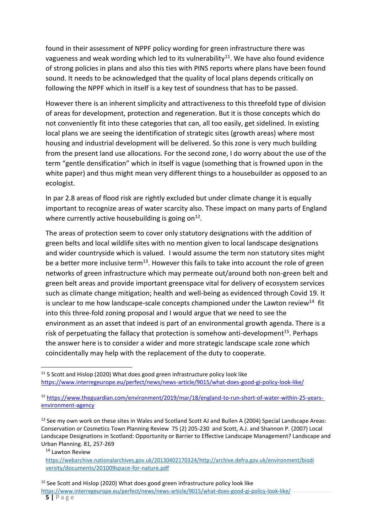found in their assessment of NPPF policy wording for green infrastructure there was vagueness and weak wording which led to its vulnerability<sup>11</sup>. We have also found evidence of strong policies in plans and also this ties with PINS reports where plans have been found sound. It needs to be acknowledged that the quality of local plans depends critically on following the NPPF which in itself is a key test of soundness that has to be passed.

However there is an inherent simplicity and attractiveness to this threefold type of division of areas for development, protection and regeneration. But it is those concepts which do not conveniently fit into these categories that can, all too easily, get sidelined. In existing local plans we are seeing the identification of strategic sites (growth areas) where most housing and industrial development will be delivered. So this zone is very much building from the present land use allocations. For the second zone, I do worry about the use of the term "gentle densification" which in itself is vague (something that is frowned upon in the white paper) and thus might mean very different things to a housebuilder as opposed to an ecologist.

In par 2.8 areas of flood risk are rightly excluded but under climate change it is equally important to recognize areas of water scarcity also. These impact on many parts of England where currently active housebuilding is going on $^{12}$ .

The areas of protection seem to cover only statutory designations with the addition of green belts and local wildlife sites with no mention given to local landscape designations and wider countryside which is valued. I would assume the term non statutory sites might be a better more inclusive term<sup>13</sup>. However this fails to take into account the role of green networks of green infrastructure which may permeate out/around both non-green belt and green belt areas and provide important greenspace vital for delivery of ecosystem services such as climate change mitigation; health and well-being as evidenced through Covid 19. It is unclear to me how landscape-scale concepts championed under the Lawton review<sup>14</sup> fit into this three-fold zoning proposal and I would argue that we need to see the environment as an asset that indeed is part of an environmental growth agenda. There is a risk of perpetuating the fallacy that protection is somehow anti-development<sup>15</sup>. Perhaps the answer here is to consider a wider and more strategic landscape scale zone which coincidentally may help with the replacement of the duty to cooperate.

<sup>14</sup> Lawton Review

 $11$  5 Scott and Hislop (2020) What does good green infrastructure policy look like <https://www.interregeurope.eu/perfect/news/news-article/9015/what-does-good-gi-policy-look-like/>

<sup>12</sup> [https://www.theguardian.com/environment/2019/mar/18/england-to-run-short-of-water-within-25-years](https://www.theguardian.com/environment/2019/mar/18/england-to-run-short-of-water-within-25-years-%20environment-agency)[environment-agency](https://www.theguardian.com/environment/2019/mar/18/england-to-run-short-of-water-within-25-years-%20environment-agency)

<sup>&</sup>lt;sup>13</sup> See my own work on these sites in Wales and Scotland Scott AJ and Bullen A (2004) Special Landscape Areas: Conservation or Cosmetics Town Planning Review 75 (2) 205-230 and Scott, A.J. and Shannon P. (2007) Local Landscape Designations in Scotland: Opportunity or Barrier to Effective Landscape Management? Landscape and Urban Planning. 81, 257-269

https://webarchive.nationalarchives.gov.uk/20130402170[324/http://archive.defra.gov.uk/environment/biodi](http://archive.defra.gov.uk/environment/biodi) versity/documents/201009space-for-nature.pdf

<sup>&</sup>lt;sup>15</sup> See Scott and Hislop (2020) What does good green infrastructure policy look like

<https://www.interregeurope.eu/perfect/news/news-article/9015/what-does-good-gi-policy-look-like/>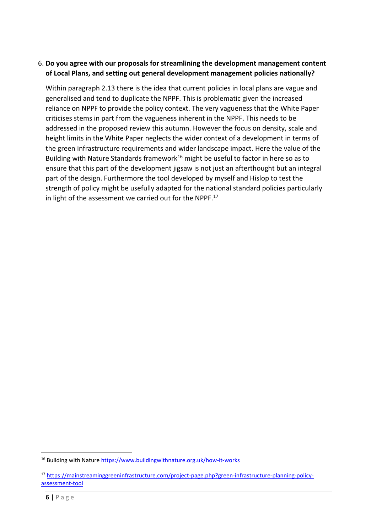## 6. **Do you agree with our proposals for streamlining the development management content of Local Plans, and setting out general development management policies nationally?**

Within paragraph 2.13 there is the idea that current policies in local plans are vague and generalised and tend to duplicate the NPPF. This is problematic given the increased reliance on NPPF to provide the policy context. The very vagueness that the White Paper criticises stems in part from the vagueness inherent in the NPPF. This needs to be addressed in the proposed review this autumn. However the focus on density, scale and height limits in the White Paper neglects the wider context of a development in terms of the green infrastructure requirements and wider landscape impact. Here the value of the Building with Nature Standards framework<sup>16</sup> might be useful to factor in here so as to ensure that this part of the development jigsaw is not just an afterthought but an integral part of the design. Furthermore the tool developed by myself and Hislop to test the strength of policy might be usefully adapted for the national standard policies particularly in light of the assessment we carried out for the NPPF.<sup>17</sup>

<sup>&</sup>lt;sup>16</sup> Building with Nature<https://www.buildingwithnature.org.uk/how-it-works>

<sup>17</sup> [https://mainstreaminggreeninfrastructure.com/project-page.php?green-infrastructure-planning-policy](https://mainstreaminggreeninfrastructure.com/project-page.php?green-infrastructure-planning-policy-assessment-tool)[assessment-tool](https://mainstreaminggreeninfrastructure.com/project-page.php?green-infrastructure-planning-policy-assessment-tool)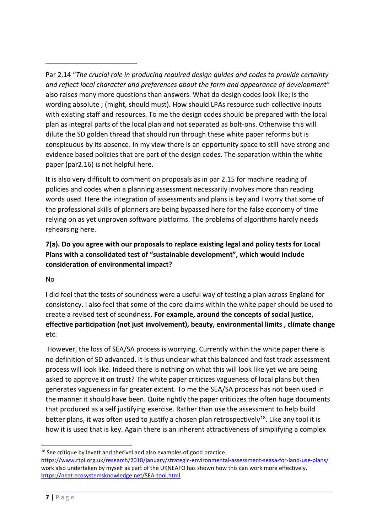Par 2.14 "*The crucial role in producing required design guides and codes to provide certainty and reflect local character and preferences about the form and appearance of development*" also raises many more questions than answers. What do design codes look like; is the wording absolute ; (might, should must). How should LPAs resource such collective inputs with existing staff and resources. To me the design codes should be prepared with the local plan as integral parts of the local plan and not separated as bolt-ons. Otherwise this will dilute the SD golden thread that should run through these white paper reforms but is conspicuous by its absence. In my view there is an opportunity space to still have strong and evidence based policies that are part of the design codes. The separation within the white paper (par2.16) is not helpful here.

It is also very difficult to comment on proposals as in par 2.15 for machine reading of policies and codes when a planning assessment necessarily involves more than reading words used. Here the integration of assessments and plans is key and I worry that some of the professional skills of planners are being bypassed here for the false economy of time relying on as yet unproven software platforms. The problems of algorithms hardly needs rehearsing here.

**7(a). Do you agree with our proposals to replace existing legal and policy tests for Local Plans with a consolidated test of "sustainable development", which would include consideration of environmental impact?**

## No

I did feel that the tests of soundness were a useful way of testing a plan across England for consistency. I also feel that some of the core claims within the white paper should be used to create a revised test of soundness. **For example, around the concepts of social justice, effective participation (not just involvement), beauty, environmental limits , climate change** etc.

However, the loss of SEA/SA process is worrying. Currently within the white paper there is no definition of SD advanced. It is thus unclear what this balanced and fast track assessment process will look like. Indeed there is nothing on what this will look like yet we are being asked to approve it on trust? The white paper criticizes vagueness of local plans but then generates vagueness in far greater extent. To me the SEA/SA process has not been used in the manner it should have been. Quite rightly the paper criticizes the often huge documents that produced as a self justifying exercise. Rather than use the assessment to help build better plans, it was often used to justify a chosen plan retrospectively<sup>18</sup>. Like any tool it is how it is used that is key. Again there is an inherent attractiveness of simplifying a complex

 $18$  See critique by levett and therivel and also examples of good practice.

<https://www.rtpi.org.uk/research/2018/january/strategic-environmental-assessment-seasa-for-land-use-plans/> work also undertaken by myself as part of the UKNEAFO has shown how this can work more effectively. <https://neat.ecosystemsknowledge.net/SEA-tool.html>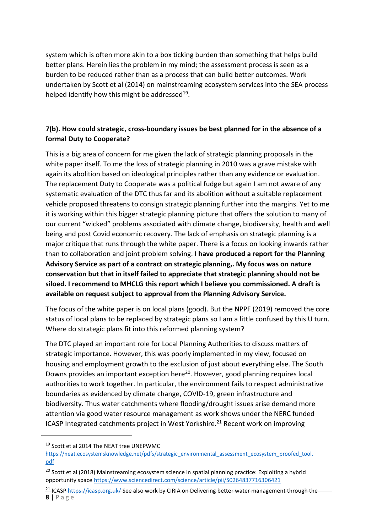system which is often more akin to a box ticking burden than something that helps build better plans. Herein lies the problem in my mind; the assessment process is seen as a burden to be reduced rather than as a process that can build better outcomes. Work undertaken by Scott et al (2014) on mainstreaming ecosystem services into the SEA process helped identify how this might be addressed $^{19}$ .

## **7(b). How could strategic, cross-boundary issues be best planned for in the absence of a formal Duty to Cooperate?**

This is a big area of concern for me given the lack of strategic planning proposals in the white paper itself. To me the loss of strategic planning in 2010 was a grave mistake with again its abolition based on ideological principles rather than any evidence or evaluation. The replacement Duty to Cooperate was a political fudge but again I am not aware of any systematic evaluation of the DTC thus far and its abolition without a suitable replacement vehicle proposed threatens to consign strategic planning further into the margins. Yet to me it is working within this bigger strategic planning picture that offers the solution to many of our current "wicked" problems associated with climate change, biodiversity, health and well being and post Covid economic recovery. The lack of emphasis on strategic planning is a major critique that runs through the white paper. There is a focus on looking inwards rather than to collaboration and joint problem solving. **I have produced a report for the Planning Advisory Service as part of a contract on strategic planning,. My focus was on nature conservation but that in itself failed to appreciate that strategic planning should not be siloed. I recommend to MHCLG this report which I believe you commissioned. A draft is available on request subject to approval from the Planning Advisory Service.** 

The focus of the white paper is on local plans (good). But the NPPF (2019) removed the core status of local plans to be replaced by strategic plans so I am a little confused by this U turn. Where do strategic plans fit into this reformed planning system?

The DTC played an important role for Local Planning Authorities to discuss matters of strategic importance. However, this was poorly implemented in my view, focused on housing and employment growth to the exclusion of just about everything else. The South Downs provides an important exception here<sup>20</sup>. However, good planning requires local authorities to work together. In particular, the environment fails to respect administrative boundaries as evidenced by climate change, COVID-19, green infrastructure and biodiversity. Thus water catchments where flooding/drought issues arise demand more attention via good water resource management as work shows under the NERC funded ICASP Integrated catchments project in West Yorkshire.<sup>21</sup> Recent work on improving

<sup>&</sup>lt;sup>19</sup> Scott et al 2014 The NEAT tree UNEPWMC

https://neat.ecosystemsknowledge.net/pdfs/strategic\_environmental\_assessment\_ecosystem\_proofed\_tool. [pdf](https://neat.ecosystemsknowledge.net/pdfs/strategic_environmental_assessment_ecosystem_proofed_tool.pdf)

<sup>&</sup>lt;sup>20</sup> Scott et al (2018) Mainstreaming ecosystem science in spatial planning practice: Exploiting a hybrid opportunity space<https://www.sciencedirect.com/science/article/pii/S0264837716306421>

**<sup>8</sup> |** P a g e <sup>21</sup> ICASP<https://icasp.org.uk/> See also work by CIRIA on Delivering better water management through the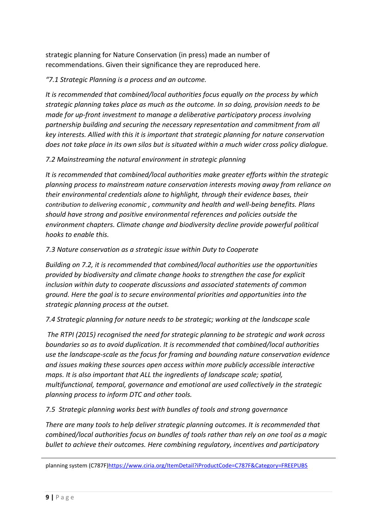strategic planning for Nature Conservation (in press) made an number of recommendations. Given their significance they are reproduced here.

## *"7.1 Strategic Planning is a process and an outcome.*

*It is recommended that combined/local authorities focus equally on the process by which strategic planning takes place as much as the outcome. In so doing, provision needs to be made for up-front investment to manage a deliberative participatory process involving partnership building and securing the necessary representation and commitment from all key interests. Allied with this it is important that strategic planning for nature conservation does not take place in its own silos but is situated within a much wider cross policy dialogue.*

## *7.2 Mainstreaming the natural environment in strategic planning*

*It is recommended that combined/local authorities make greater efforts within the strategic planning process to mainstream nature conservation interests moving away from reliance on their environmental credentials alone to highlight, through their evidence bases, their contribution to delivering economic , community and health and well-being benefits. Plans should have strong and positive environmental references and policies outside the environment chapters. Climate change and biodiversity decline provide powerful political hooks to enable this.*

## *7.3 Nature conservation as a strategic issue within Duty to Cooperate*

*Building on 7.2, it is recommended that combined/local authorities use the opportunities provided by biodiversity and climate change hooks to strengthen the case for explicit inclusion within duty to cooperate discussions and associated statements of common ground. Here the goal is to secure environmental priorities and opportunities into the strategic planning process at the outset.*

## *7.4 Strategic planning for nature needs to be strategic; working at the landscape scale*

*The RTPI (2015) recognised the need for strategic planning to be strategic and work across boundaries so as to avoid duplication. It is recommended that combined/local authorities use the landscape-scale as the focus for framing and bounding nature conservation evidence and issues making these sources open access within more publicly accessible interactive maps. It is also important that ALL the ingredients of landscape scale; spatial, multifunctional, temporal, governance and emotional are used collectively in the strategic planning process to inform DTC and other tools.*

### *7.5 Strategic planning works best with bundles of tools and strong governance*

*There are many tools to help deliver strategic planning outcomes. It is recommended that combined/local authorities focus on bundles of tools rather than rely on one tool as a magic bullet to achieve their outcomes. Here combining regulatory, incentives and participatory* 

planning system (C787F[\)https://www.ciria.org/ItemDetail?iProductCode=C787F&Category=FREEPUBS](https://www.ciria.org/ItemDetail?iProductCode=C787F&Category=FREEPUBS)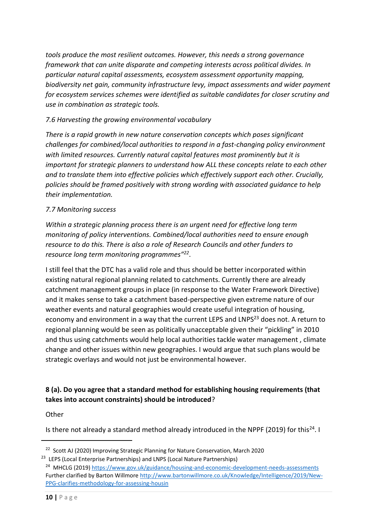*tools produce the most resilient outcomes. However, this needs a strong governance framework that can unite disparate and competing interests across political divides. In particular natural capital assessments, ecosystem assessment opportunity mapping, biodiversity net gain, community infrastructure levy, impact assessments and wider payment for ecosystem services schemes were identified as suitable candidates for closer scrutiny and use in combination as strategic tools.*

## *7.6 Harvesting the growing environmental vocabulary*

*There is a rapid growth in new nature conservation concepts which poses significant challenges for combined/local authorities to respond in a fast-changing policy environment with limited resources. Currently natural capital features most prominently but it is important for strategic planners to understand how ALL these concepts relate to each other and to translate them into effective policies which effectively support each other. Crucially, policies should be framed positively with strong wording with associated guidance to help their implementation.*

## *7.7 Monitoring success*

*Within a strategic planning process there is an urgent need for effective long term monitoring of policy interventions. Combined/local authorities need to ensure enough resource to do this. There is also a role of Research Councils and other funders to resource long term monitoring programmes"<sup>22</sup>* .

I still feel that the DTC has a valid role and thus should be better incorporated within existing natural regional planning related to catchments. Currently there are already catchment management groups in place (in response to the Water Framework Directive) and it makes sense to take a catchment based-perspective given extreme nature of our weather events and natural geographies would create useful integration of housing, economy and environment in a way that the current LEPS and LNPS<sup>23</sup> does not. A return to regional planning would be seen as politically unacceptable given their "pickling" in 2010 and thus using catchments would help local authorities tackle water management , climate change and other issues within new geographies. I would argue that such plans would be strategic overlays and would not just be environmental however.

## **8 (a). Do you agree that a standard method for establishing housing requirements (that takes into account constraints) should be introduced**?

### **Other**

Is there not already a standard method already introduced in the NPPF (2019) for this<sup>24</sup>. I

<sup>&</sup>lt;sup>22</sup> Scott AJ (2020) Improving Strategic Planning for Nature Conservation, March 2020

<sup>&</sup>lt;sup>23</sup> LEPS (Local Enterprise Partnerships) and LNPS (Local Nature Partnerships)

<sup>&</sup>lt;sup>24</sup> MHCLG (2019)<https://www.gov.uk/guidance/housing-and-economic-development-needs-assessments> Further clarified by Barton Willmore [http://www.bartonwillmore.co.uk/Knowledge/Intelligence/2019/New-](http://www.bartonwillmore.co.uk/Knowledge/Intelligence/2019/New-PPG-clarifies-methodology-for-assessing-housin)[PPG-clarifies-methodology-for-assessing-housin](http://www.bartonwillmore.co.uk/Knowledge/Intelligence/2019/New-PPG-clarifies-methodology-for-assessing-housin)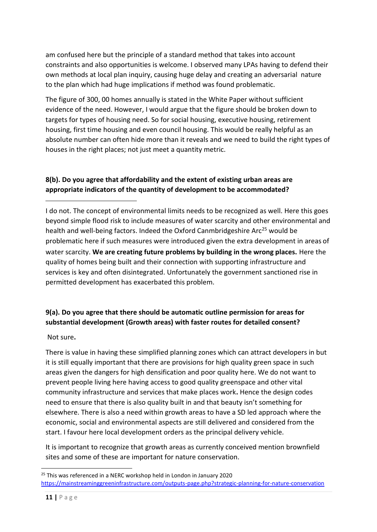am confused here but the principle of a standard method that takes into account constraints and also opportunities is welcome. I observed many LPAs having to defend their own methods at local plan inquiry, causing huge delay and creating an adversarial nature to the plan which had huge implications if method was found problematic.

The figure of 300, 00 homes annually is stated in the White Paper without sufficient evidence of the need. However, I would argue that the figure should be broken down to targets for types of housing need. So for social housing, executive housing, retirement housing, first time housing and even council housing. This would be really helpful as an absolute number can often hide more than it reveals and we need to build the right types of houses in the right places; not just meet a quantity metric.

# **8(b). Do you agree that affordability and the extent of existing urban areas are appropriate indicators of the quantity of development to be accommodated?**

I do not. The concept of environmental limits needs to be recognized as well. Here this goes beyond simple flood risk to include measures of water scarcity and other environmental and health and well-being factors. Indeed the Oxford Canmbridgeshire Arc<sup>25</sup> would be problematic here if such measures were introduced given the extra development in areas of water scarcity. **We are creating future problems by building in the wrong places.** Here the quality of homes being built and their connection with supporting infrastructure and services is key and often disintegrated. Unfortunately the government sanctioned rise in permitted development has exacerbated this problem.

# **9(a). Do you agree that there should be automatic outline permission for areas for substantial development (Growth areas) with faster routes for detailed consent?**

Not sure**.**

There is value in having these simplified planning zones which can attract developers in but it is still equally important that there are provisions for high quality green space in such areas given the dangers for high densification and poor quality here. We do not want to prevent people living here having access to good quality greenspace and other vital community infrastructure and services that make places work**.** Hence the design codes need to ensure that there is also quality built in and that beauty isn't something for elsewhere. There is also a need within growth areas to have a SD led approach where the economic, social and environmental aspects are still delivered and considered from the start. I favour here local development orders as the principal delivery vehicle.

It is important to recognize that growth areas as currently conceived mention brownfield sites and some of these are important for nature conservation.

 $25$  This was referenced in a NERC workshop held in London in January 2020 <https://mainstreaminggreeninfrastructure.com/outputs-page.php?strategic-planning-for-nature-conservation>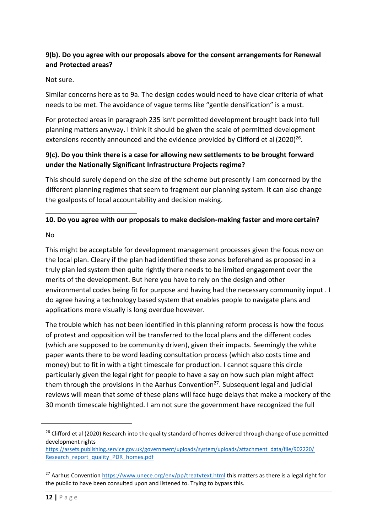# **9(b). Do you agree with our proposals above for the consent arrangements for Renewal and Protected areas?**

### Not sure.

Similar concerns here as to 9a. The design codes would need to have clear criteria of what needs to be met. The avoidance of vague terms like "gentle densification" is a must.

For protected areas in paragraph 235 isn't permitted development brought back into full planning matters anyway. I think it should be given the scale of permitted development extensions recently announced and the evidence provided by Clifford et al (2020) $^{26}$ .

## **9(c). Do you think there is a case for allowing new settlements to be brought forward under the Nationally Significant Infrastructure Projects regime?**

This should surely depend on the size of the scheme but presently I am concerned by the different planning regimes that seem to fragment our planning system. It can also change the goalposts of local accountability and decision making.

## **10. Do you agree with our proposals to make decision-making faster and more certain?**

#### No

This might be acceptable for development management processes given the focus now on the local plan. Cleary if the plan had identified these zones beforehand as proposed in a truly plan led system then quite rightly there needs to be limited engagement over the merits of the development. But here you have to rely on the design and other environmental codes being fit for purpose and having had the necessary community input . I do agree having a technology based system that enables people to navigate plans and applications more visually is long overdue however.

The trouble which has not been identified in this planning reform process is how the focus of protest and opposition will be transferred to the local plans and the different codes (which are supposed to be community driven), given their impacts. Seemingly the white paper wants there to be word leading consultation process (which also costs time and money) but to fit in with a tight timescale for production. I cannot square this circle particularly given the legal right for people to have a say on how such plan might affect them through the provisions in the Aarhus Convention<sup>27</sup>. Subsequent legal and judicial reviews will mean that some of these plans will face huge delays that make a mockery of the 30 month timescale highlighted. I am not sure the government have recognized the full

<sup>&</sup>lt;sup>26</sup> Clifford et al (2020) Research into the quality standard of homes delivered through change of use permitted development rights

[https://assets.publishing.service.gov.uk/government/uploads/system/uploads/attachment\\_data/file/902220/](https://assets.publishing.service.gov.uk/government/uploads/system/uploads/attachment_data/file/902220/Research_report_quality_PDR_homes.pdf) [Research\\_report\\_quality\\_PDR\\_homes.pdf](https://assets.publishing.service.gov.uk/government/uploads/system/uploads/attachment_data/file/902220/Research_report_quality_PDR_homes.pdf)

<sup>&</sup>lt;sup>27</sup> Aarhus Conventio[n https://www.unece.org/env/pp/treatytext.html](https://www.unece.org/env/pp/treatytext.html) this matters as there is a legal right for the public to have been consulted upon and listened to. Trying to bypass this.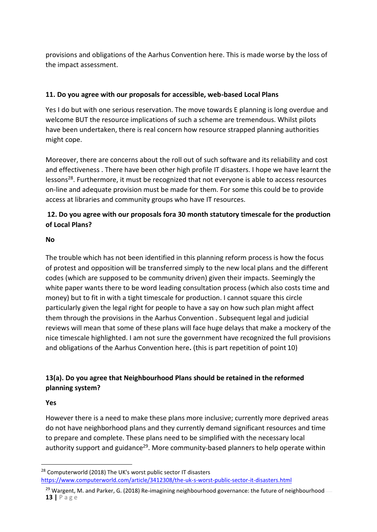provisions and obligations of the Aarhus Convention here. This is made worse by the loss of the impact assessment.

### **11. Do you agree with our proposals for accessible, web-based Local Plans**

Yes I do but with one serious reservation. The move towards E planning is long overdue and welcome BUT the resource implications of such a scheme are tremendous. Whilst pilots have been undertaken, there is real concern how resource strapped planning authorities might cope.

Moreover, there are concerns about the roll out of such software and its reliability and cost and effectiveness . There have been other high profile IT disasters. I hope we have learnt the lessons<sup>28</sup>. Furthermore, it must be recognized that not everyone is able to access resources on-line and adequate provision must be made for them. For some this could be to provide access at libraries and community groups who have IT resources.

## **12. Do you agree with our proposals fora 30 month statutory timescale for the production of Local Plans?**

#### **No**

The trouble which has not been identified in this planning reform process is how the focus of protest and opposition will be transferred simply to the new local plans and the different codes (which are supposed to be community driven) given their impacts. Seemingly the white paper wants there to be word leading consultation process (which also costs time and money) but to fit in with a tight timescale for production. I cannot square this circle particularly given the legal right for people to have a say on how such plan might affect them through the provisions in the Aarhus Convention . Subsequent legal and judicial reviews will mean that some of these plans will face huge delays that make a mockery of the nice timescale highlighted. I am not sure the government have recognized the full provisions and obligations of the Aarhus Convention here**.** (this is part repetition of point 10)

# **13(a). Do you agree that Neighbourhood Plans should be retained in the reformed planning system?**

#### **Yes**

However there is a need to make these plans more inclusive; currently more deprived areas do not have neighborhood plans and they currently demand significant resources and time to prepare and complete. These plans need to be simplified with the necessary local authority support and guidance<sup>29</sup>. More community-based planners to help operate within

 $28$  Computerworld (2018) The UK's worst public sector IT disasters <https://www.computerworld.com/article/3412308/the-uk-s-worst-public-sector-it-disasters.html>

**<sup>13</sup> |** P a g e <sup>29</sup> Wargent, M. and Parker, G. (2018) Re-imagining neighbourhood governance: the future of neighbourhood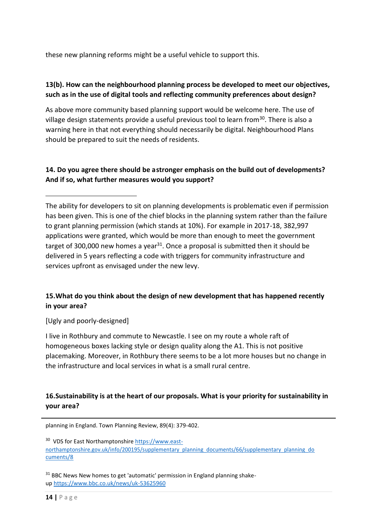these new planning reforms might be a useful vehicle to support this.

## **13(b). How can the neighbourhood planning process be developed to meet our objectives, such as in the use of digital tools and reflecting community preferences about design?**

As above more community based planning support would be welcome here. The use of village design statements provide a useful previous tool to learn from<sup>30</sup>. There is also a warning here in that not everything should necessarily be digital. Neighbourhood Plans should be prepared to suit the needs of residents.

## **14. Do you agree there should be astronger emphasis on the build out of developments? And if so, what further measures would you support?**

The ability for developers to sit on planning developments is problematic even if permission has been given. This is one of the chief blocks in the planning system rather than the failure to grant planning permission (which stands at 10%). For example in 2017-18, 382,997 applications were granted, which would be more than enough to meet the government target of 300,000 new homes a year<sup>31</sup>. Once a proposal is submitted then it should be delivered in 5 years reflecting a code with triggers for community infrastructure and services upfront as envisaged under the new levy.

# **15.What do you think about the design of new development that has happened recently in your area?**

[Ugly and poorly-designed]

I live in Rothbury and commute to Newcastle. I see on my route a whole raft of homogeneous boxes lacking style or design quality along the A1. This is not positive placemaking. Moreover, in Rothbury there seems to be a lot more houses but no change in the infrastructure and local services in what is a small rural centre.

## **16.Sustainability is at the heart of our proposals. What is your priority for sustainability in your area?**

planning in England. Town Planning Review, 89(4): 379-402.

<sup>30</sup> VDS for East Northamptonshir[e https://www.east](https://www.east-northamptonshire.gov.uk/info/200195/supplementary_planning_documents/66/supplementary_planning_documents/8)[northamptonshire.gov.uk/info/200195/supplementary\\_planning\\_documents/66/supplementary\\_planning\\_do](https://www.east-northamptonshire.gov.uk/info/200195/supplementary_planning_documents/66/supplementary_planning_documents/8) [cuments/8](https://www.east-northamptonshire.gov.uk/info/200195/supplementary_planning_documents/66/supplementary_planning_documents/8)

<sup>31</sup> BBC News New homes to get 'automatic' permission in England planning shakeup<https://www.bbc.co.uk/news/uk-53625960>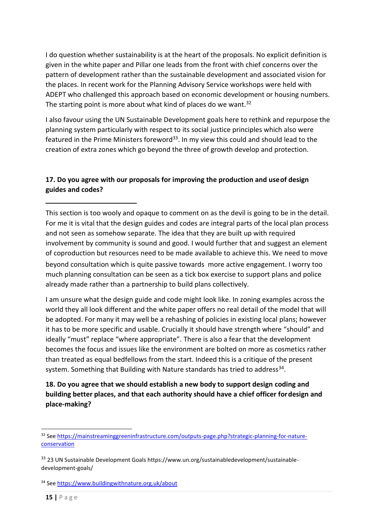I do question whether sustainability is at the heart of the proposals. No explicit definition is given in the white paper and Pillar one leads from the front with chief concerns over the pattern of development rather than the sustainable development and associated vision for the places. In recent work for the Planning Advisory Service workshops were held with ADEPT who challenged this approach based on economic development or housing numbers. The starting point is more about what kind of places do we want.<sup>32</sup>

I also favour using the UN Sustainable Development goals here to rethink and repurpose the planning system particularly with respect to its social justice principles which also were featured in the Prime Ministers foreword<sup>33</sup>. In my view this could and should lead to the creation of extra zones which go beyond the three of growth develop and protection.

## **17. Do you agree with our proposals for improving the production and useof design guides and codes?**

This section is too wooly and opaque to comment on as the devil is going to be in the detail. For me it is vital that the design guides and codes are integral parts of the local plan process and not seen as somehow separate. The idea that they are built up with required involvement by community is sound and good. I would further that and suggest an element of coproduction but resources need to be made available to achieve this. We need to move beyond consultation which is quite passive towards more active engagement. I worry too much planning consultation can be seen as a tick box exercise to support plans and police already made rather than a partnership to build plans collectively.

I am unsure what the design guide and code might look like. In zoning examples across the world they all look different and the white paper offers no real detail of the model that will be adopted. For many it may well be a rehashing of policies in existing local plans; however it has to be more specific and usable. Crucially it should have strength where "should" and ideally "must" replace "where appropriate". There is also a fear that the development becomes the focus and issues like the environment are bolted on more as cosmetics rather than treated as equal bedfellows from the start. Indeed this is a critique of the present system. Something that Building with Nature standards has tried to address<sup>34</sup>.

**18. Do you agree that we should establish a new body to support design coding and building better places, and that each authority should have a chief officer fordesign and place-making?**

<sup>&</sup>lt;sup>32</sup> Se[e https://mainstreaminggreeninfrastructure.com/outputs-page.php?strategic-planning-for-nature](https://mainstreaminggreeninfrastructure.com/outputs-page.php?strategic-planning-for-nature-conservation)**[conservation](https://mainstreaminggreeninfrastructure.com/outputs-page.php?strategic-planning-for-nature-conservation)** 

<sup>&</sup>lt;sup>33</sup> 23 UN Sustainable Development Goals https://www.un.org/sustainabledevelopment/sustainabledevelopment-goals/

<sup>34</sup> Se[e https://www.buildingwithnature.org.uk/about](https://www.buildingwithnature.org.uk/about)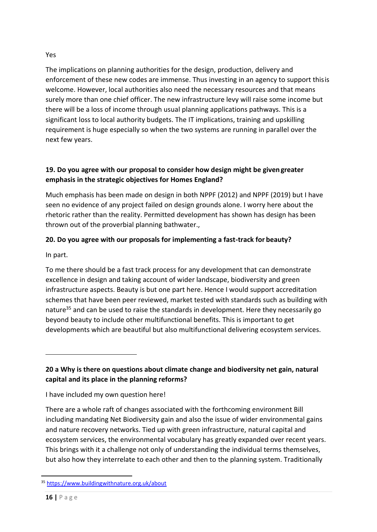### Yes

The implications on planning authorities for the design, production, delivery and enforcement of these new codes are immense. Thus investing in an agency to support thisis welcome. However, local authorities also need the necessary resources and that means surely more than one chief officer. The new infrastructure levy will raise some income but there will be a loss of income through usual planning applications pathways. This is a significant loss to local authority budgets. The IT implications, training and upskilling requirement is huge especially so when the two systems are running in parallel over the next few years.

## **19. Do you agree with our proposal to consider how design might be givengreater emphasis in the strategic objectives for Homes England?**

Much emphasis has been made on design in both NPPF (2012) and NPPF (2019) but I have seen no evidence of any project failed on design grounds alone. I worry here about the rhetoric rather than the reality. Permitted development has shown has design has been thrown out of the proverbial planning bathwater.,

# **20. Do you agree with our proposals for implementing a fast-track for beauty?**

In part.

To me there should be a fast track process for any development that can demonstrate excellence in design and taking account of wider landscape, biodiversity and green infrastructure aspects. Beauty is but one part here. Hence I would support accreditation schemes that have been peer reviewed, market tested with standards such as building with nature<sup>35</sup> and can be used to raise the standards in development. Here they necessarily go beyond beauty to include other multifunctional benefits. This is important to get developments which are beautiful but also multifunctional delivering ecosystem services.

**20 a Why is there on questions about climate change and biodiversity net gain, natural capital and its place in the planning reforms?**

I have included my own question here!

There are a whole raft of changes associated with the forthcoming environment Bill including mandating Net Biodiversity gain and also the issue of wider environmental gains and nature recovery networks. Tied up with green infrastructure, natural capital and ecosystem services, the environmental vocabulary has greatly expanded over recent years. This brings with it a challenge not only of understanding the individual terms themselves, but also how they interrelate to each other and then to the planning system. Traditionally

<sup>35</sup> <https://www.buildingwithnature.org.uk/about>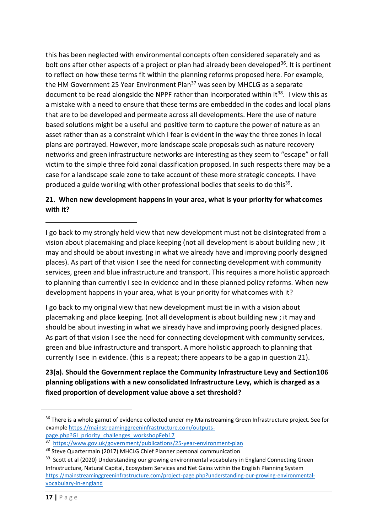this has been neglected with environmental concepts often considered separately and as bolt ons after other aspects of a project or plan had already been developed<sup>36</sup>. It is pertinent to reflect on how these terms fit within the planning reforms proposed here. For example, the HM Government 25 Year Environment Plan<sup>37</sup> was seen by MHCLG as a separate document to be read alongside the NPPF rather than incorporated within it<sup>38</sup>. I view this as a mistake with a need to ensure that these terms are embedded in the codes and local plans that are to be developed and permeate across all developments. Here the use of nature based solutions might be a useful and positive term to capture the power of nature as an asset rather than as a constraint which I fear is evident in the way the three zones in local plans are portrayed. However, more landscape scale proposals such as nature recovery networks and green infrastructure networks are interesting as they seem to "escape" or fall victim to the simple three fold zonal classification proposed. In such respects there may be a case for a landscape scale zone to take account of these more strategic concepts. I have produced a guide working with other professional bodies that seeks to do this<sup>39</sup>.

# **21. When new development happens in your area, what is your priority for what comes with it?**

I go back to my strongly held view that new development must not be disintegrated from a vision about placemaking and place keeping (not all development is about building new ; it may and should be about investing in what we already have and improving poorly designed places). As part of that vision I see the need for connecting development with community services, green and blue infrastructure and transport. This requires a more holistic approach to planning than currently I see in evidence and in these planned policy reforms. When new development happens in your area, what is your priority for what comes with it?

I go back to my original view that new development must tie in with a vision about placemaking and place keeping. (not all development is about building new ; it may and should be about investing in what we already have and improving poorly designed places. As part of that vision I see the need for connecting development with community services, green and blue infrastructure and transport. A more holistic approach to planning that currently I see in evidence. (this is a repeat; there appears to be a gap in question 21).

# **23(a). Should the Government replace the Community Infrastructure Levy and Section106 planning obligations with a new consolidated Infrastructure Levy, which is charged as a fixed proportion of development value above a set threshold?**

<sup>&</sup>lt;sup>36</sup> There is a whole gamut of evidence collected under my Mainstreaming Green Infrastructure project. See for example [https://mainstreaminggreeninfrastructure.com/outputs](https://mainstreaminggreeninfrastructure.com/outputs-page.php?GI_priority_challenges_workshopFeb17)[page.php?GI\\_priority\\_challenges\\_workshopFeb17](https://mainstreaminggreeninfrastructure.com/outputs-page.php?GI_priority_challenges_workshopFeb17)

<sup>37</sup> <https://www.gov.uk/government/publications/25-year-environment-plan>

<sup>&</sup>lt;sup>38</sup> Steve Quartermain (2017) MHCLG Chief Planner personal communication

<sup>&</sup>lt;sup>39</sup> Scott et al (2020) Understanding our growing environmental vocabulary in England Connecting Green Infrastructure, Natural Capital, Ecosystem Services and Net Gains within the English Planning System [https://mainstreaminggreeninfrastructure.com/project-page.php?understanding-our-growing-environmental](https://mainstreaminggreeninfrastructure.com/project-page.php?understanding-our-growing-environmental-vocabulary-in-england)[vocabulary-in-england](https://mainstreaminggreeninfrastructure.com/project-page.php?understanding-our-growing-environmental-vocabulary-in-england)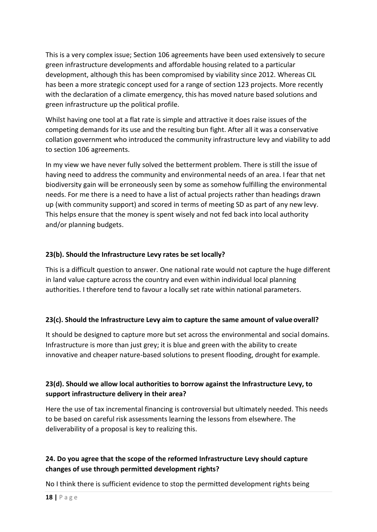This is a very complex issue; Section 106 agreements have been used extensively to secure green infrastructure developments and affordable housing related to a particular development, although this has been compromised by viability since 2012. Whereas CIL has been a more strategic concept used for a range of section 123 projects. More recently with the declaration of a climate emergency, this has moved nature based solutions and green infrastructure up the political profile.

Whilst having one tool at a flat rate is simple and attractive it does raise issues of the competing demands for its use and the resulting bun fight. After all it was a conservative collation government who introduced the community infrastructure levy and viability to add to section 106 agreements.

In my view we have never fully solved the betterment problem. There is still the issue of having need to address the community and environmental needs of an area. I fear that net biodiversity gain will be erroneously seen by some as somehow fulfilling the environmental needs. For me there is a need to have a list of actual projects rather than headings drawn up (with community support) and scored in terms of meeting SD as part of any new levy. This helps ensure that the money is spent wisely and not fed back into local authority and/or planning budgets.

## **23(b). Should the Infrastructure Levy rates be set locally?**

This is a difficult question to answer. One national rate would not capture the huge different in land value capture across the country and even within individual local planning authorities. I therefore tend to favour a locally set rate within national parameters.

## **23(c). Should the Infrastructure Levy aim to capture the same amount of value overall?**

It should be designed to capture more but set across the environmental and social domains. Infrastructure is more than just grey; it is blue and green with the ability to create innovative and cheaper nature-based solutions to present flooding, drought for example.

## **23(d). Should we allow local authorities to borrow against the Infrastructure Levy, to support infrastructure delivery in their area?**

Here the use of tax incremental financing is controversial but ultimately needed. This needs to be based on careful risk assessments learning the lessons from elsewhere. The deliverability of a proposal is key to realizing this.

## **24. Do you agree that the scope of the reformed Infrastructure Levy should capture changes of use through permitted development rights?**

No I think there is sufficient evidence to stop the permitted development rights being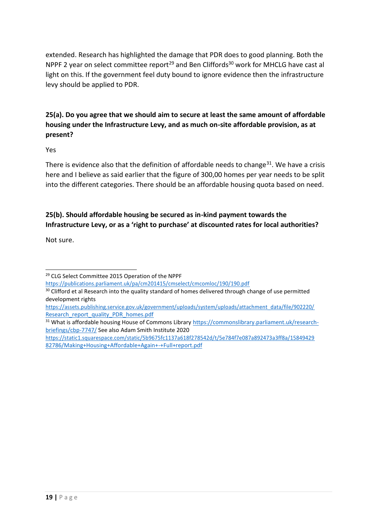extended. Research has highlighted the damage that PDR does to good planning. Both the NPPF 2 year on select committee report<sup>29</sup> and Ben Cliffords<sup>30</sup> work for MHCLG have cast al light on this. If the government feel duty bound to ignore evidence then the infrastructure levy should be applied to PDR.

# **25(a). Do you agree that we should aim to secure at least the same amount of affordable housing under the Infrastructure Levy, and as much on-site affordable provision, as at present?**

Yes

There is evidence also that the definition of affordable needs to change<sup>31</sup>. We have a crisis here and I believe as said earlier that the figure of 300,00 homes per year needs to be split into the different categories. There should be an affordable housing quota based on need.

# **25(b). Should affordable housing be secured as in-kind payment towards the Infrastructure Levy, or as a 'right to purchase' at discounted rates for local authorities?**

Not sure.

<sup>29</sup> CLG Select Committee 2015 Operation of the NPPF

<https://publications.parliament.uk/pa/cm201415/cmselect/cmcomloc/190/190.pdf>

<sup>&</sup>lt;sup>30</sup> Clifford et al Research into the quality standard of homes delivered through change of use permitted development rights

[https://assets.publishing.service.gov.uk/government/uploads/system/uploads/attachment\\_data/file/902220/](https://assets.publishing.service.gov.uk/government/uploads/system/uploads/attachment_data/file/902220/Research_report_quality_PDR_homes.pdf) [Research\\_report\\_quality\\_PDR\\_homes.pdf](https://assets.publishing.service.gov.uk/government/uploads/system/uploads/attachment_data/file/902220/Research_report_quality_PDR_homes.pdf)

<sup>31</sup> What is affordable housing House of Commons Librar[y https://commonslibrary.parliament.uk/research](https://commonslibrary.parliament.uk/research-briefings/cbp-7747/)[briefings/cbp-7747/](https://commonslibrary.parliament.uk/research-briefings/cbp-7747/) See also Adam Smith Institute 2020

[https://static1.squarespace.com/static/5b9675fc1137a618f278542d/t/5e784f7e087a892473a3ff8a/15849429](https://static1.squarespace.com/static/5b9675fc1137a618f278542d/t/5e784f7e087a892473a3ff8a/1584942982786/Making%2BHousing%2BAffordable%2BAgain%2B-%2BFull%2Breport.pdf) [82786/Making+Housing+Affordable+Again+-+Full+report.pdf](https://static1.squarespace.com/static/5b9675fc1137a618f278542d/t/5e784f7e087a892473a3ff8a/1584942982786/Making%2BHousing%2BAffordable%2BAgain%2B-%2BFull%2Breport.pdf)